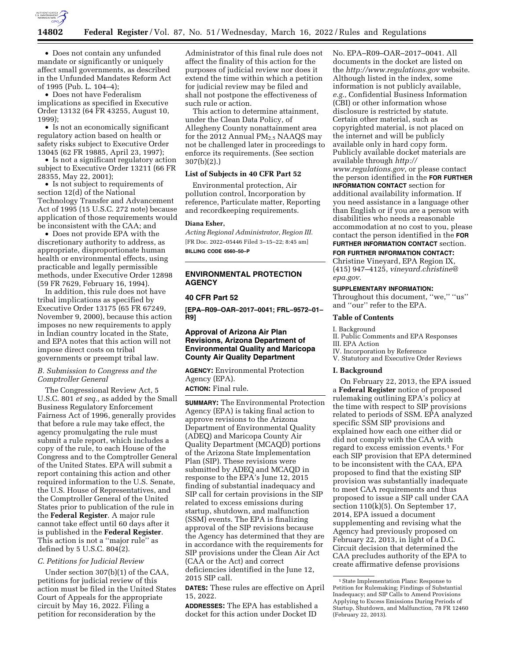

• Does not contain any unfunded mandate or significantly or uniquely affect small governments, as described in the Unfunded Mandates Reform Act of 1995 (Pub. L. 104–4);

• Does not have Federalism implications as specified in Executive Order 13132 (64 FR 43255, August 10, 1999);

• Is not an economically significant regulatory action based on health or safety risks subject to Executive Order 13045 (62 FR 19885, April 23, 1997);

• Is not a significant regulatory action subject to Executive Order 13211 (66 FR 28355, May 22, 2001);

• Is not subject to requirements of section 12(d) of the National Technology Transfer and Advancement Act of 1995 (15 U.S.C. 272 note) because application of those requirements would be inconsistent with the CAA; and

• Does not provide EPA with the discretionary authority to address, as appropriate, disproportionate human health or environmental effects, using practicable and legally permissible methods, under Executive Order 12898 (59 FR 7629, February 16, 1994).

In addition, this rule does not have tribal implications as specified by Executive Order 13175 (65 FR 67249, November 9, 2000), because this action imposes no new requirements to apply in Indian country located in the State, and EPA notes that this action will not impose direct costs on tribal governments or preempt tribal law.

## *B. Submission to Congress and the Comptroller General*

The Congressional Review Act, 5 U.S.C. 801 *et seq.,* as added by the Small Business Regulatory Enforcement Fairness Act of 1996, generally provides that before a rule may take effect, the agency promulgating the rule must submit a rule report, which includes a copy of the rule, to each House of the Congress and to the Comptroller General of the United States. EPA will submit a report containing this action and other required information to the U.S. Senate, the U.S. House of Representatives, and the Comptroller General of the United States prior to publication of the rule in the **Federal Register**. A major rule cannot take effect until 60 days after it is published in the **Federal Register**. This action is not a ''major rule'' as defined by 5 U.S.C. 804(2).

#### *C. Petitions for Judicial Review*

Under section 307(b)(1) of the CAA, petitions for judicial review of this action must be filed in the United States Court of Appeals for the appropriate circuit by May 16, 2022. Filing a petition for reconsideration by the

Administrator of this final rule does not affect the finality of this action for the purposes of judicial review nor does it extend the time within which a petition for judicial review may be filed and shall not postpone the effectiveness of such rule or action.

This action to determine attainment, under the Clean Data Policy, of Allegheny County nonattainment area for the 2012 Annual  $PM<sub>2.5</sub> NAAQS$  may not be challenged later in proceedings to enforce its requirements. (See section 307(b)(2).)

# **List of Subjects in 40 CFR Part 52**

Environmental protection, Air pollution control, Incorporation by reference, Particulate matter, Reporting and recordkeeping requirements.

#### **Diana Esher,**

*Acting Regional Administrator, Region III.*  [FR Doc. 2022–05446 Filed 3–15–22; 8:45 am] **BILLING CODE 6560–50–P** 

**ENVIRONMENTAL PROTECTION AGENCY** 

### **40 CFR Part 52**

**[EPA–R09–OAR–2017–0041; FRL–9572–01– R9]** 

### **Approval of Arizona Air Plan Revisions, Arizona Department of Environmental Quality and Maricopa County Air Quality Department**

**AGENCY:** Environmental Protection Agency (EPA).

**ACTION:** Final rule.

**SUMMARY:** The Environmental Protection Agency (EPA) is taking final action to approve revisions to the Arizona Department of Environmental Quality (ADEQ) and Maricopa County Air Quality Department (MCAQD) portions of the Arizona State Implementation Plan (SIP). These revisions were submitted by ADEQ and MCAQD in response to the EPA's June 12, 2015 finding of substantial inadequacy and SIP call for certain provisions in the SIP related to excess emissions during startup, shutdown, and malfunction (SSM) events. The EPA is finalizing approval of the SIP revisions because the Agency has determined that they are in accordance with the requirements for SIP provisions under the Clean Air Act (CAA or the Act) and correct deficiencies identified in the June 12, 2015 SIP call.

**DATES:** These rules are effective on April 15, 2022.

**ADDRESSES:** The EPA has established a docket for this action under Docket ID

No. EPA–R09–OAR–2017–0041. All documents in the docket are listed on the *<http://www.regulations.gov>*website. Although listed in the index, some information is not publicly available, *e.g.,* Confidential Business Information (CBI) or other information whose disclosure is restricted by statute. Certain other material, such as copyrighted material, is not placed on the internet and will be publicly available only in hard copy form. Publicly available docket materials are available through *[http://](http://www.regulations.gov) [www.regulations.gov,](http://www.regulations.gov)* or please contact the person identified in the **FOR FURTHER INFORMATION CONTACT** section for additional availability information. If you need assistance in a language other than English or if you are a person with disabilities who needs a reasonable accommodation at no cost to you, please contact the person identified in the **FOR FURTHER INFORMATION CONTACT** section.

# **FOR FURTHER INFORMATION CONTACT:**

Christine Vineyard, EPA Region IX, (415) 947–4125, *[vineyard.christine@](mailto:vineyard.christine@epa.gov) [epa.gov.](mailto:vineyard.christine@epa.gov)* 

#### **SUPPLEMENTARY INFORMATION:**

Throughout this document, "we," "us" and ''our'' refer to the EPA.

### **Table of Contents**

I. Background

- II. Public Comments and EPA Responses III. EPA Action
- IV. Incorporation by Reference
- V. Statutory and Executive Order Reviews

# **I. Background**

On February 22, 2013, the EPA issued a **Federal Register** notice of proposed rulemaking outlining EPA's policy at the time with respect to SIP provisions related to periods of SSM. EPA analyzed specific SSM SIP provisions and explained how each one either did or did not comply with the CAA with regard to excess emission events.1 For each SIP provision that EPA determined to be inconsistent with the CAA, EPA proposed to find that the existing SIP provision was substantially inadequate to meet CAA requirements and thus proposed to issue a SIP call under CAA section 110(k)(5). On September 17, 2014, EPA issued a document supplementing and revising what the Agency had previously proposed on February 22, 2013, in light of a D.C. Circuit decision that determined the CAA precludes authority of the EPA to create affirmative defense provisions

<sup>1</sup>State Implementation Plans: Response to Petition for Rulemaking; Findings of Substantial Inadequacy; and SIP Calls to Amend Provisions Applying to Excess Emissions During Periods of Startup, Shutdown, and Malfunction, 78 FR 12460 (February 22, 2013).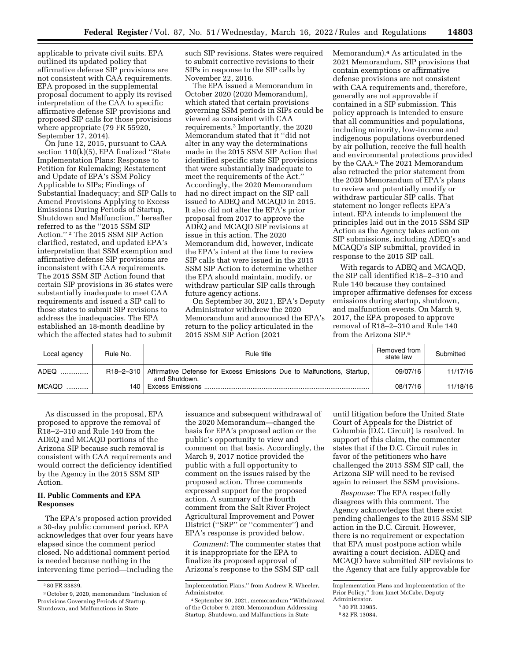applicable to private civil suits. EPA outlined its updated policy that affirmative defense SIP provisions are not consistent with CAA requirements. EPA proposed in the supplemental proposal document to apply its revised interpretation of the CAA to specific affirmative defense SIP provisions and proposed SIP calls for those provisions where appropriate (79 FR 55920, September 17, 2014).

On June 12, 2015, pursuant to CAA section 110(k)(5), EPA finalized ''State Implementation Plans: Response to Petition for Rulemaking; Restatement and Update of EPA's SSM Policy Applicable to SIPs; Findings of Substantial Inadequacy; and SIP Calls to Amend Provisions Applying to Excess Emissions During Periods of Startup, Shutdown and Malfunction,'' hereafter referred to as the ''2015 SSM SIP Action.'' 2 The 2015 SSM SIP Action clarified, restated, and updated EPA's interpretation that SSM exemption and affirmative defense SIP provisions are inconsistent with CAA requirements. The 2015 SSM SIP Action found that certain SIP provisions in 36 states were substantially inadequate to meet CAA requirements and issued a SIP call to those states to submit SIP revisions to address the inadequacies. The EPA established an 18-month deadline by which the affected states had to submit

such SIP revisions. States were required to submit corrective revisions to their SIPs in response to the SIP calls by November 22, 2016.

The EPA issued a Memorandum in October 2020 (2020 Memorandum), which stated that certain provisions governing SSM periods in SIPs could be viewed as consistent with CAA requirements.3 Importantly, the 2020 Memorandum stated that it ''did not alter in any way the determinations made in the 2015 SSM SIP Action that identified specific state SIP provisions that were substantially inadequate to meet the requirements of the Act.'' Accordingly, the 2020 Memorandum had no direct impact on the SIP call issued to ADEQ and MCAQD in 2015. It also did not alter the EPA's prior proposal from 2017 to approve the ADEQ and MCAQD SIP revisions at issue in this action. The 2020 Memorandum did, however, indicate the EPA's intent at the time to review SIP calls that were issued in the 2015 SSM SIP Action to determine whether the EPA should maintain, modify, or withdraw particular SIP calls through future agency actions.

On September 30, 2021, EPA's Deputy Administrator withdrew the 2020 Memorandum and announced the EPA's return to the policy articulated in the 2015 SSM SIP Action (2021

Memorandum).4 As articulated in the 2021 Memorandum, SIP provisions that contain exemptions or affirmative defense provisions are not consistent with CAA requirements and, therefore, generally are not approvable if contained in a SIP submission. This policy approach is intended to ensure that all communities and populations, including minority, low-income and indigenous populations overburdened by air pollution, receive the full health and environmental protections provided by the CAA.5 The 2021 Memorandum also retracted the prior statement from the 2020 Memorandum of EPA's plans to review and potentially modify or withdraw particular SIP calls. That statement no longer reflects EPA's intent. EPA intends to implement the principles laid out in the 2015 SSM SIP Action as the Agency takes action on SIP submissions, including ADEQ's and MCAQD's SIP submittal, provided in response to the 2015 SIP call.

With regards to ADEQ and MCAQD, the SIP call identified R18–2–310 and Rule 140 because they contained improper affirmative defenses for excess emissions during startup, shutdown, and malfunction events. On March 9, 2017, the EPA proposed to approve removal of R18–2–310 and Rule 140 from the Arizona SIP.6

| Local agency | Rule No.        | Rule title                                                                              | Removed from<br>state law | Submitted |
|--------------|-----------------|-----------------------------------------------------------------------------------------|---------------------------|-----------|
| ADEQ '       | $R18 - 2 - 310$ | Affirmative Defense for Excess Emissions Due to Malfunctions, Startup,<br>and Shutdown. | 09/07/16                  | 11/17/16  |
| MCAQD        | 140             |                                                                                         | 08/17/16                  | 11/18/16  |

As discussed in the proposal, EPA proposed to approve the removal of R18–2–310 and Rule 140 from the ADEQ and MCAQD portions of the Arizona SIP because such removal is consistent with CAA requirements and would correct the deficiency identified by the Agency in the 2015 SSM SIP Action.

# **II. Public Comments and EPA Responses**

The EPA's proposed action provided a 30-day public comment period. EPA acknowledges that over four years have elapsed since the comment period closed. No additional comment period is needed because nothing in the intervening time period—including the

issuance and subsequent withdrawal of the 2020 Memorandum—changed the basis for EPA's proposed action or the public's opportunity to view and comment on that basis. Accordingly, the March 9, 2017 notice provided the public with a full opportunity to comment on the issues raised by the proposed action. Three comments expressed support for the proposed action. A summary of the fourth comment from the Salt River Project Agricultural Improvement and Power District (''SRP'' or ''commenter'') and EPA's response is provided below.

*Comment:* The commenter states that it is inappropriate for the EPA to finalize its proposed approval of Arizona's response to the SSM SIP call

until litigation before the United State Court of Appeals for the District of Columbia (D.C. Circuit) is resolved. In support of this claim, the commenter states that if the D.C. Circuit rules in favor of the petitioners who have challenged the 2015 SSM SIP call, the Arizona SIP will need to be revised again to reinsert the SSM provisions.

*Response:* The EPA respectfully disagrees with this comment. The Agency acknowledges that there exist pending challenges to the 2015 SSM SIP action in the D.C. Circuit. However, there is no requirement or expectation that EPA must postpone action while awaiting a court decision. ADEQ and MCAQD have submitted SIP revisions to the Agency that are fully approvable for

<sup>2</sup> 80 FR 33839.

<sup>3</sup>October 9, 2020, memorandum ''Inclusion of Provisions Governing Periods of Startup, Shutdown, and Malfunctions in State

Implementation Plans,'' from Andrew R. Wheeler, Administrator.

<sup>4</sup>September 30, 2021, memorandum ''Withdrawal of the October 9, 2020, Memorandum Addressing Startup, Shutdown, and Malfunctions in State

Implementation Plans and Implementation of the Prior Policy,'' from Janet McCabe, Deputy Administrator.

<sup>5</sup> 80 FR 33985.

<sup>6</sup> 82 FR 13084.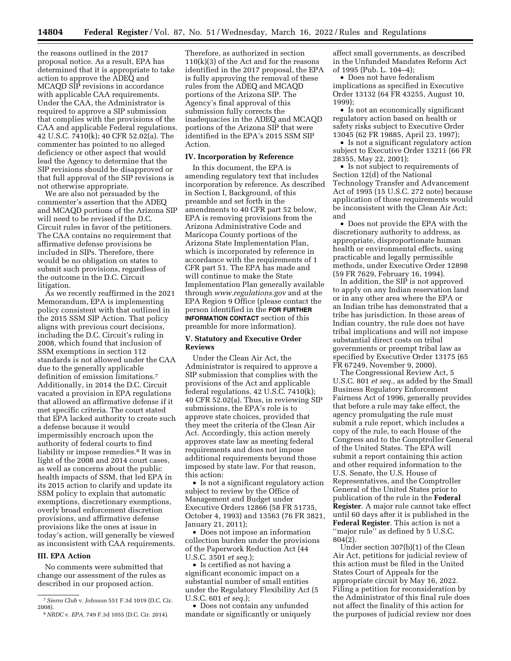the reasons outlined in the 2017 proposal notice. As a result, EPA has determined that it is appropriate to take action to approve the ADEQ and MCAQD SIP revisions in accordance with applicable CAA requirements. Under the CAA, the Administrator is required to approve a SIP submission that complies with the provisions of the CAA and applicable Federal regulations. 42 U.S.C. 7410(k); 40 CFR 52.02(a). The commenter has pointed to no alleged deficiency or other aspect that would lead the Agency to determine that the SIP revisions should be disapproved or that full approval of the SIP revisions is not otherwise appropriate.

We are also not persuaded by the commenter's assertion that the ADEQ and MCAQD portions of the Arizona SIP will need to be revised if the D.C. Circuit rules in favor of the petitioners. The CAA contains no requirement that affirmative defense provisions be included in SIPs. Therefore, there would be no obligation on states to submit such provisions, regardless of the outcome in the D.C. Circuit litigation.

As we recently reaffirmed in the 2021 Memorandum, EPA is implementing policy consistent with that outlined in the 2015 SSM SIP Action. That policy aligns with previous court decisions, including the D.C. Circuit's ruling in 2008, which found that inclusion of SSM exemptions in section 112 standards is not allowed under the CAA due to the generally applicable definition of emission limitations.7 Additionally, in 2014 the D.C. Circuit vacated a provision in EPA regulations that allowed an affirmative defense if it met specific criteria. The court stated that EPA lacked authority to create such a defense because it would impermissibly encroach upon the authority of federal courts to find liability or impose remedies.<sup>8</sup> It was in light of the 2008 and 2014 court cases, as well as concerns about the public health impacts of SSM, that led EPA in its 2015 action to clarify and update its SSM policy to explain that automatic exemptions, discretionary exemptions, overly broad enforcement discretion provisions, and affirmative defense provisions like the ones at issue in today's action, will generally be viewed as inconsistent with CAA requirements.

### **III. EPA Action**

No comments were submitted that change our assessment of the rules as described in our proposed action.

Therefore, as authorized in section 110(k)(3) of the Act and for the reasons identified in the 2017 proposal, the EPA is fully approving the removal of these rules from the ADEQ and MCAQD portions of the Arizona SIP. The Agency's final approval of this submission fully corrects the inadequacies in the ADEQ and MCAQD portions of the Arizona SIP that were identified in the EPA's 2015 SSM SIP Action.

# **IV. Incorporation by Reference**

In this document, the EPA is amending regulatory text that includes incorporation by reference. As described in Section I, Background, of this preamble and set forth in the amendments to 40 CFR part 52 below, EPA is removing provisions from the Arizona Administrative Code and Maricopa County portions of the Arizona State Implementation Plan, which is incorporated by reference in accordance with the requirements of 1 CFR part 51. The EPA has made and will continue to make the State Implementation Plan generally available through *[www.regulations.gov](http://www.regulations.gov)* and at the EPA Region 9 Office (please contact the person identified in the **FOR FURTHER INFORMATION CONTACT** section of this preamble for more information).

## **V. Statutory and Executive Order Reviews**

Under the Clean Air Act, the Administrator is required to approve a SIP submission that complies with the provisions of the Act and applicable federal regulations. 42 U.S.C. 7410(k); 40 CFR 52.02(a). Thus, in reviewing SIP submissions, the EPA's role is to approve state choices, provided that they meet the criteria of the Clean Air Act. Accordingly, this action merely approves state law as meeting federal requirements and does not impose additional requirements beyond those imposed by state law. For that reason, this action:

• Is not a significant regulatory action subject to review by the Office of Management and Budget under Executive Orders 12866 (58 FR 51735, October 4, 1993) and 13563 (76 FR 3821, January 21, 2011);

• Does not impose an information collection burden under the provisions of the Paperwork Reduction Act (44 U.S.C. 3501 *et seq.*);

• Is certified as not having a significant economic impact on a substantial number of small entities under the Regulatory Flexibility Act (5 U.S.C. 601 *et seq.*);

• Does not contain any unfunded mandate or significantly or uniquely

affect small governments, as described in the Unfunded Mandates Reform Act of 1995 (Pub. L. 104–4);

• Does not have federalism implications as specified in Executive Order 13132 (64 FR 43255, August 10, 1999);

• Is not an economically significant regulatory action based on health or safety risks subject to Executive Order 13045 (62 FR 19885, April 23, 1997);

• Is not a significant regulatory action subject to Executive Order 13211 (66 FR 28355, May 22, 2001);

• Is not subject to requirements of Section 12(d) of the National Technology Transfer and Advancement Act of 1995 (15 U.S.C. 272 note) because application of those requirements would be inconsistent with the Clean Air Act; and

• Does not provide the EPA with the discretionary authority to address, as appropriate, disproportionate human health or environmental effects, using practicable and legally permissible methods, under Executive Order 12898 (59 FR 7629, February 16, 1994).

In addition, the SIP is not approved to apply on any Indian reservation land or in any other area where the EPA or an Indian tribe has demonstrated that a tribe has jurisdiction. In those areas of Indian country, the rule does not have tribal implications and will not impose substantial direct costs on tribal governments or preempt tribal law as specified by Executive Order 13175 (65 FR 67249, November 9, 2000).

The Congressional Review Act, 5 U.S.C. 801 *et seq.,* as added by the Small Business Regulatory Enforcement Fairness Act of 1996, generally provides that before a rule may take effect, the agency promulgating the rule must submit a rule report, which includes a copy of the rule, to each House of the Congress and to the Comptroller General of the United States. The EPA will submit a report containing this action and other required information to the U.S. Senate, the U.S. House of Representatives, and the Comptroller General of the United States prior to publication of the rule in the **Federal Register**. A major rule cannot take effect until 60 days after it is published in the **Federal Register**. This action is not a "major rule" as defined by 5 U.S.C. 804(2).

Under section 307(b)(1) of the Clean Air Act, petitions for judicial review of this action must be filed in the United States Court of Appeals for the appropriate circuit by May 16, 2022. Filing a petition for reconsideration by the Administrator of this final rule does not affect the finality of this action for the purposes of judicial review nor does

<sup>7</sup>*Sierra Club* v. *Johnson* 551 F.3d 1019 (D.C. Cir. 2008).

<sup>8</sup>*NRDC* v. *EPA,* 749 F.3d 1055 (D.C. Cir. 2014).